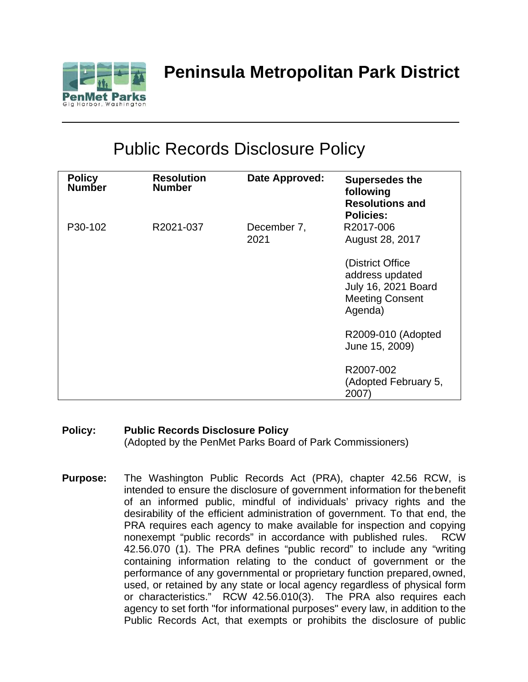

# Public Records Disclosure Policy

| <b>Policy</b><br><b>Number</b> | <b>Resolution</b><br><b>Number</b> | Date Approved:      | <b>Supersedes the</b><br>following<br><b>Resolutions and</b><br><b>Policies:</b>                |
|--------------------------------|------------------------------------|---------------------|-------------------------------------------------------------------------------------------------|
| P30-102                        | R2021-037                          | December 7,<br>2021 | R2017-006<br>August 28, 2017                                                                    |
|                                |                                    |                     | (District Office<br>address updated<br>July 16, 2021 Board<br><b>Meeting Consent</b><br>Agenda) |
|                                |                                    |                     | R2009-010 (Adopted<br>June 15, 2009)                                                            |
|                                |                                    |                     | R2007-002<br>(Adopted February 5,<br>2007)                                                      |

#### **Policy: Public Records Disclosure Policy** (Adopted by the PenMet Parks Board of Park Commissioners)

**Purpose:** The Washington Public Records Act (PRA), chapter 42.56 RCW, is intended to ensure the disclosure of government information for thebenefit of an informed public, mindful of individuals' privacy rights and the desirability of the efficient administration of government. To that end, the PRA requires each agency to make available for inspection and copying nonexempt "public records" in accordance with published rules. RCW 42.56.070 (1). The PRA defines "public record" to include any "writing containing information relating to the conduct of government or the performance of any governmental or proprietary function prepared, owned, used, or retained by any state or local agency regardless of physical form or characteristics." RCW 42.56.010(3). The PRA also requires each agency to set forth "for informational purposes" every law, in addition to the Public Records Act, that exempts or prohibits the disclosure of public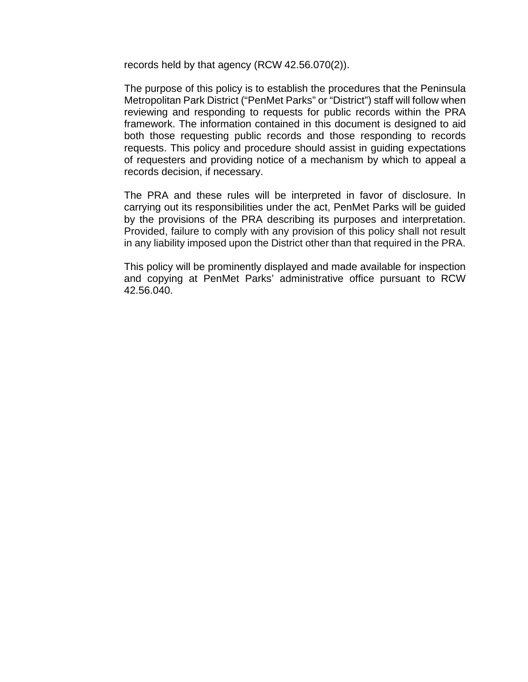records held by that agency (RCW 42.56.070(2)).

The purpose of this policy is to establish the procedures that the Peninsula Metropolitan Park District ("PenMet Parks" or "District") staff will follow when reviewing and responding to requests for public records within the PRA framework. The information contained in this document is designed to aid both those requesting public records and those responding to records requests. This policy and procedure should assist in guiding expectations of requesters and providing notice of a mechanism by which to appeal a records decision, if necessary.

The PRA and these rules will be interpreted in favor of disclosure. In carrying out its responsibilities under the act, PenMet Parks will be guided by the provisions of the PRA describing its purposes and interpretation. Provided, failure to comply with any provision of this policy shall not result in any liability imposed upon the District other than that required in the PRA.

This policy will be prominently displayed and made available for inspection and copying at PenMet Parks' administrative office pursuant to RCW 42.56.040.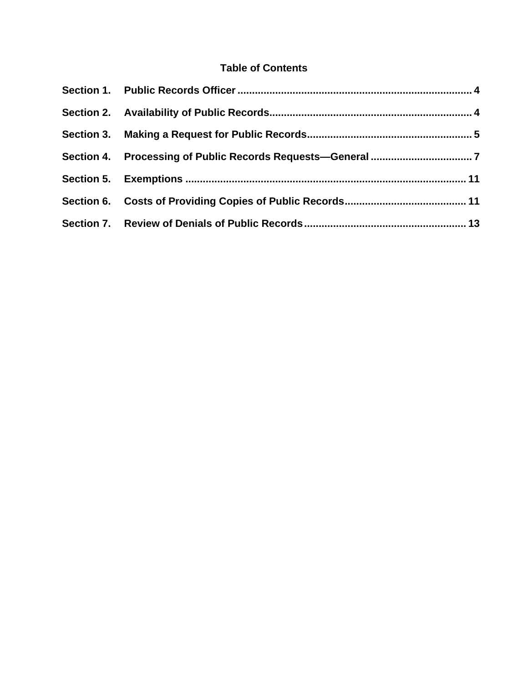# **Table of Contents**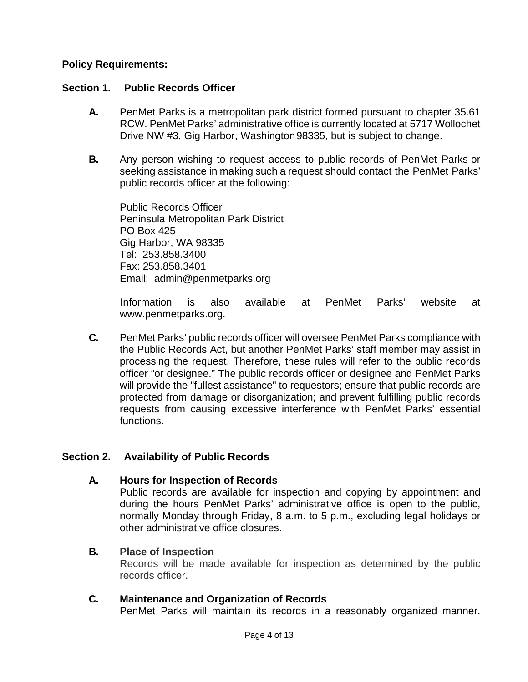#### **Policy Requirements:**

#### <span id="page-3-0"></span>**Section 1. Public Records Officer**

- **A.** PenMet Parks is a metropolitan park district formed pursuant to chapter 35.61 RCW. PenMet Parks' administrative office is currently located at 5717 Wollochet Drive NW #3, Gig Harbor, Washington98335, but is subject to change.
- **B.** Any person wishing to request access to public records of PenMet Parks or seeking assistance in making such a request should contact the PenMet Parks' public records officer at the following:

Public Records Officer Peninsula Metropolitan Park District PO Box 425 Gig Harbor, WA 98335 Tel: 253.858.3400 Fax: 253.858.3401 Email: [admin@penmetparks.org](mailto:info@penmetparks.org)

Information is also available at PenMet Parks' website at [www.penmetparks.org.](http://www.penmetparks.org/)

**C.** PenMet Parks' public records officer will oversee PenMet Parks compliance with the Public Records Act, but another PenMet Parks' staff member may assist in processing the request. Therefore, these rules will refer to the public records officer "or designee." The public records officer or designee and PenMet Parks will provide the "fullest assistance" to requestors; ensure that public records are protected from damage or disorganization; and prevent fulfilling public records requests from causing excessive interference with PenMet Parks' essential functions.

# <span id="page-3-1"></span>**Section 2. Availability of Public Records**

**A. Hours for Inspection of Records**

Public records are available for inspection and copying by appointment and during the hours PenMet Parks' administrative office is open to the public, normally Monday through Friday, 8 a.m. to 5 p.m., excluding legal holidays or other administrative office closures.

#### **B. Place of Inspection**

Records will be made available for inspection as determined by the public records officer.

#### **C. Maintenance and Organization of Records**

PenMet Parks will maintain its records in a reasonably organized manner.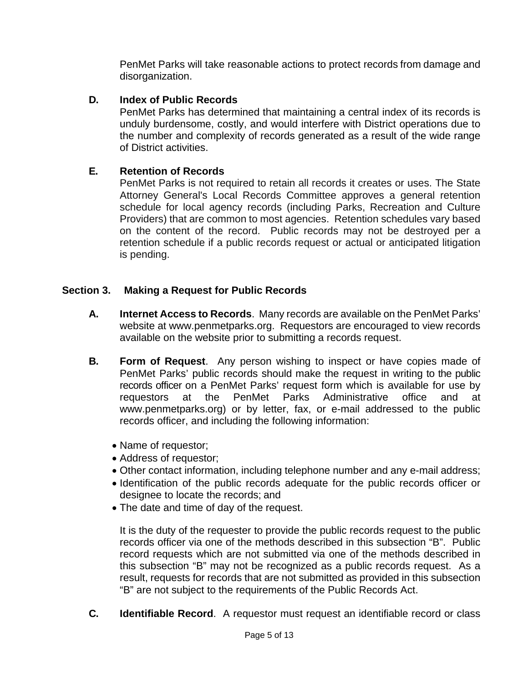PenMet Parks will take reasonable actions to protect records from damage and disorganization.

#### **D. Index of Public Records**

PenMet Parks has determined that maintaining a central index of its records is unduly burdensome, costly, and would interfere with District operations due to the number and complexity of records generated as a result of the wide range of District activities.

#### **E. Retention of Records**

PenMet Parks is not required to retain all records it creates or uses. The State Attorney General's Local Records Committee approves a general retention schedule for local agency records (including Parks, Recreation and Culture Providers) that are common to most agencies. Retention schedules vary based on the content of the record. Public records may not be destroyed per a retention schedule if a public records request or actual or anticipated litigation is pending.

#### <span id="page-4-0"></span>**Section 3. Making a Request for Public Records**

- **A. Internet Access to Records**. Many records are available on the PenMet Parks' website at [www.penmetparks.org.](http://www.penmetparks.org/) Requestors are encouraged to view records available on the website prior to submitting a records request.
- **B. Form of Request**. Any person wishing to inspect or have copies made of PenMet Parks' public records should make the request in writing to the public records officer on a PenMet Parks' request form which is available for use by requestors at the PenMet Parks Administrative office and at [www.penmetparks.org\)](http://www.penmetparks.org)/) or by letter, fax, or e-mail addressed to the public records officer, and including the following information:
	- Name of requestor;
	- Address of requestor;
	- Other contact information, including telephone number and any e-mail address;
	- Identification of the public records adequate for the public records officer or designee to locate the records; and
	- The date and time of day of the request.

It is the duty of the requester to provide the public records request to the public records officer via one of the methods described in this subsection "B". Public record requests which are not submitted via one of the methods described in this subsection "B" may not be recognized as a public records request. As a result, requests for records that are not submitted as provided in this subsection "B" are not subject to the requirements of the Public Records Act.

**C. Identifiable Record**. A requestor must request an identifiable record or class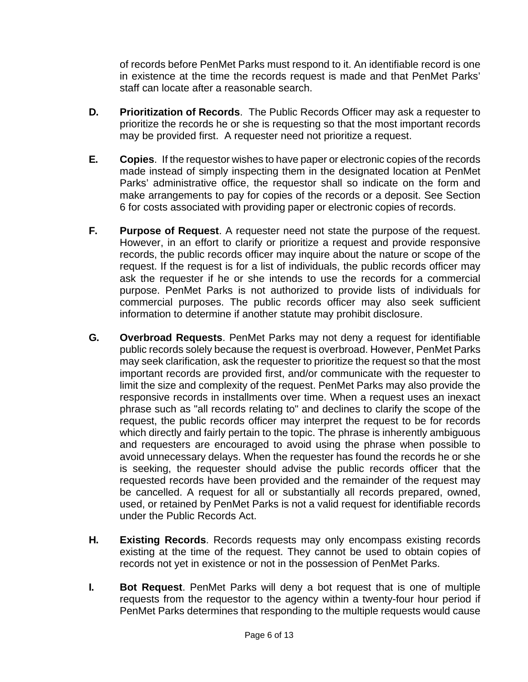of records before PenMet Parks must respond to it. An identifiable record is one in existence at the time the records request is made and that PenMet Parks' staff can locate after a reasonable search.

- **D. Prioritization of Records**. The Public Records Officer may ask a requester to prioritize the records he or she is requesting so that the most important records may be provided first. A requester need not prioritize a request.
- **E. Copies**. If the requestor wishes to have paper or electronic copies of the records made instead of simply inspecting them in the designated location at PenMet Parks' administrative office, the requestor shall so indicate on the form and make arrangements to pay for copies of the records or a deposit. See Section 6 for costs associated with providing paper or electronic copies of records.
- **F. Purpose of Request**. A requester need not state the purpose of the request. However, in an effort to clarify or prioritize a request and provide responsive records, the public records officer may inquire about the nature or scope of the request. If the request is for a list of individuals, the public records officer may ask the requester if he or she intends to use the records for a commercial purpose. PenMet Parks is not authorized to provide lists of individuals for commercial purposes. The public records officer may also seek sufficient information to determine if another statute may prohibit disclosure.
- **G. Overbroad Requests**. PenMet Parks may not deny a request for identifiable public records solely because the request is overbroad. However, PenMet Parks may seek clarification, ask the requester to prioritize the request so that the most important records are provided first, and/or communicate with the requester to limit the size and complexity of the request. PenMet Parks may also provide the responsive records in installments over time. When a request uses an inexact phrase such as "all records relating to" and declines to clarify the scope of the request, the public records officer may interpret the request to be for records which directly and fairly pertain to the topic. The phrase is inherently ambiguous and requesters are encouraged to avoid using the phrase when possible to avoid unnecessary delays. When the requester has found the records he or she is seeking, the requester should advise the public records officer that the requested records have been provided and the remainder of the request may be cancelled. A request for all or substantially all records prepared, owned, used, or retained by PenMet Parks is not a valid request for identifiable records under the Public Records Act.
- **H. Existing Records**. Records requests may only encompass existing records existing at the time of the request. They cannot be used to obtain copies of records not yet in existence or not in the possession of PenMet Parks.
- **I. Bot Request**. PenMet Parks will deny a bot request that is one of multiple requests from the requestor to the agency within a twenty-four hour period if PenMet Parks determines that responding to the multiple requests would cause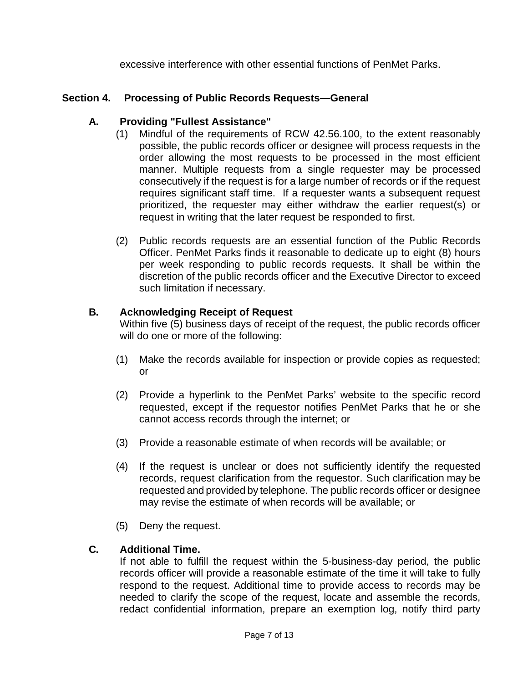excessive interference with other essential functions of PenMet Parks.

# <span id="page-6-0"></span>**Section 4. Processing of Public Records Requests—General**

# **A. Providing "Fullest Assistance"**

- (1) Mindful of the requirements of RCW 42.56.100, to the extent reasonably possible, the public records officer or designee will process requests in the order allowing the most requests to be processed in the most efficient manner. Multiple requests from a single requester may be processed consecutively if the request is for a large number of records or if the request requires significant staff time. If a requester wants a subsequent request prioritized, the requester may either withdraw the earlier request(s) or request in writing that the later request be responded to first.
- (2) Public records requests are an essential function of the Public Records Officer. PenMet Parks finds it reasonable to dedicate up to eight (8) hours per week responding to public records requests. It shall be within the discretion of the public records officer and the Executive Director to exceed such limitation if necessary.

# **B. Acknowledging Receipt of Request**

Within five (5) business days of receipt of the request, the public records officer will do one or more of the following:

- (1) Make the records available for inspection or provide copies as requested; or
- (2) Provide a hyperlink to the PenMet Parks' website to the specific record requested, except if the requestor notifies PenMet Parks that he or she cannot access records through the internet; or
- (3) Provide a reasonable estimate of when records will be available; or
- (4) If the request is unclear or does not sufficiently identify the requested records, request clarification from the requestor. Such clarification may be requested and provided by telephone. The public records officer or designee may revise the estimate of when records will be available; or
- (5) Deny the request.

# **C. Additional Time.**

If not able to fulfill the request within the 5-business-day period, the public records officer will provide a reasonable estimate of the time it will take to fully respond to the request. Additional time to provide access to records may be needed to clarify the scope of the request, locate and assemble the records, redact confidential information, prepare an exemption log, notify third party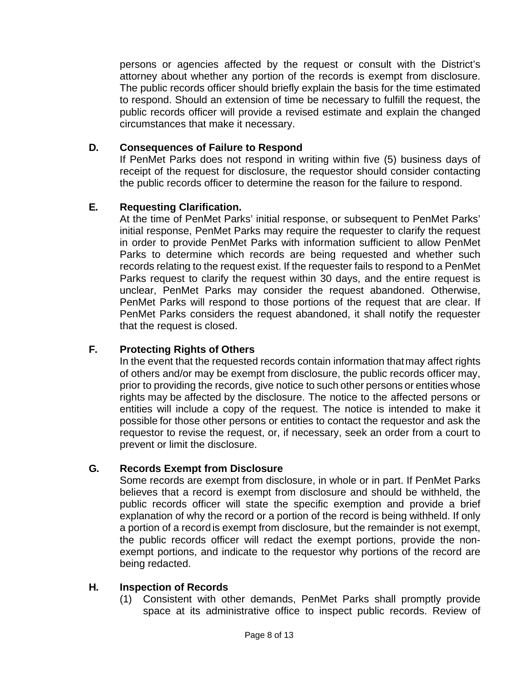persons or agencies affected by the request or consult with the District's attorney about whether any portion of the records is exempt from disclosure. The public records officer should briefly explain the basis for the time estimated to respond. Should an extension of time be necessary to fulfill the request, the public records officer will provide a revised estimate and explain the changed circumstances that make it necessary.

#### **D. Consequences of Failure to Respond**

If PenMet Parks does not respond in writing within five (5) business days of receipt of the request for disclosure, the requestor should consider contacting the public records officer to determine the reason for the failure to respond.

#### **E. Requesting Clarification.**

At the time of PenMet Parks' initial response, or subsequent to PenMet Parks' initial response, PenMet Parks may require the requester to clarify the request in order to provide PenMet Parks with information sufficient to allow PenMet Parks to determine which records are being requested and whether such records relating to the request exist. If the requester fails to respond to a PenMet Parks request to clarify the request within 30 days, and the entire request is unclear, PenMet Parks may consider the request abandoned. Otherwise, PenMet Parks will respond to those portions of the request that are clear. If PenMet Parks considers the request abandoned, it shall notify the requester that the request is closed.

# **F. Protecting Rights of Others**

In the event that the requested records contain information thatmay affect rights of others and/or may be exempt from disclosure, the public records officer may, prior to providing the records, give notice to such other persons or entities whose rights may be affected by the disclosure. The notice to the affected persons or entities will include a copy of the request. The notice is intended to make it possible for those other persons or entities to contact the requestor and ask the requestor to revise the request, or, if necessary, seek an order from a court to prevent or limit the disclosure.

#### **G. Records Exempt from Disclosure**

Some records are exempt from disclosure, in whole or in part. If PenMet Parks believes that a record is exempt from disclosure and should be withheld, the public records officer will state the specific exemption and provide a brief explanation of why the record or a portion of the record is being withheld. If only a portion of a record is exempt from disclosure, but the remainder is not exempt, the public records officer will redact the exempt portions, provide the nonexempt portions, and indicate to the requestor why portions of the record are being redacted.

#### **H. Inspection of Records**

(1) Consistent with other demands, PenMet Parks shall promptly provide space at its administrative office to inspect public records. Review of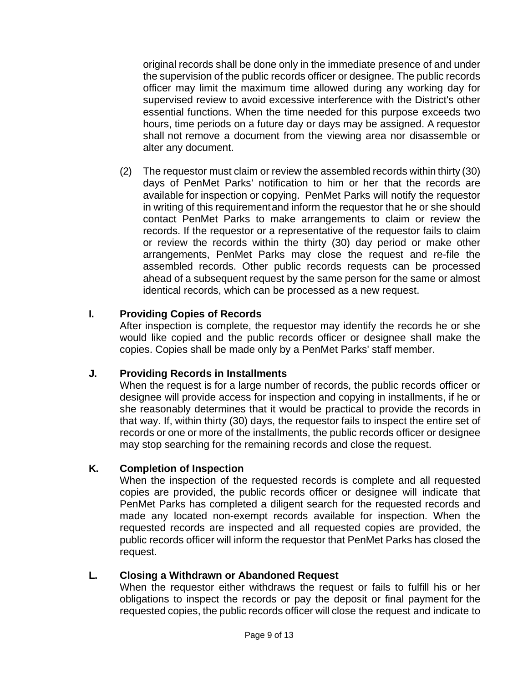original records shall be done only in the immediate presence of and under the supervision of the public records officer or designee. The public records officer may limit the maximum time allowed during any working day for supervised review to avoid excessive interference with the District's other essential functions. When the time needed for this purpose exceeds two hours, time periods on a future day or days may be assigned. A requestor shall not remove a document from the viewing area nor disassemble or alter any document.

(2) The requestor must claim or review the assembled records within thirty (30) days of PenMet Parks' notification to him or her that the records are available for inspection or copying. PenMet Parks will notify the requestor in writing of this requirementand inform the requestor that he or she should contact PenMet Parks to make arrangements to claim or review the records. If the requestor or a representative of the requestor fails to claim or review the records within the thirty (30) day period or make other arrangements, PenMet Parks may close the request and re-file the assembled records. Other public records requests can be processed ahead of a subsequent request by the same person for the same or almost identical records, which can be processed as a new request.

#### **I. Providing Copies of Records**

After inspection is complete, the requestor may identify the records he or she would like copied and the public records officer or designee shall make the copies. Copies shall be made only by a PenMet Parks' staff member.

#### **J. Providing Records in Installments**

When the request is for a large number of records, the public records officer or designee will provide access for inspection and copying in installments, if he or she reasonably determines that it would be practical to provide the records in that way. If, within thirty (30) days, the requestor fails to inspect the entire set of records or one or more of the installments, the public records officer or designee may stop searching for the remaining records and close the request.

#### **K. Completion of Inspection**

When the inspection of the requested records is complete and all requested copies are provided, the public records officer or designee will indicate that PenMet Parks has completed a diligent search for the requested records and made any located non-exempt records available for inspection. When the requested records are inspected and all requested copies are provided, the public records officer will inform the requestor that PenMet Parks has closed the request.

#### **L. Closing a Withdrawn or Abandoned Request**

When the requestor either withdraws the request or fails to fulfill his or her obligations to inspect the records or pay the deposit or final payment for the requested copies, the public records officer will close the request and indicate to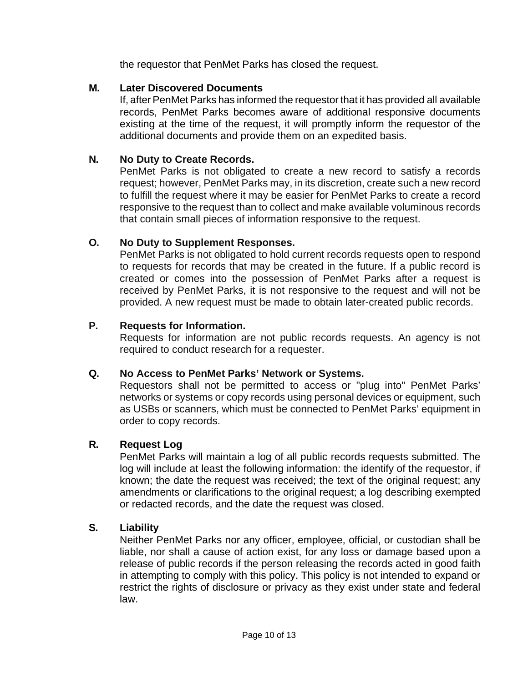the requestor that PenMet Parks has closed the request.

# **M. Later Discovered Documents**

If, after PenMet Parks has informed the requestor that it has provided all available records, PenMet Parks becomes aware of additional responsive documents existing at the time of the request, it will promptly inform the requestor of the additional documents and provide them on an expedited basis.

# **N. No Duty to Create Records.**

PenMet Parks is not obligated to create a new record to satisfy a records request; however, PenMet Parks may, in its discretion, create such a new record to fulfill the request where it may be easier for PenMet Parks to create a record responsive to the request than to collect and make available voluminous records that contain small pieces of information responsive to the request.

# **O. No Duty to Supplement Responses.**

PenMet Parks is not obligated to hold current records requests open to respond to requests for records that may be created in the future. If a public record is created or comes into the possession of PenMet Parks after a request is received by PenMet Parks, it is not responsive to the request and will not be provided. A new request must be made to obtain later-created public records.

# **P. Requests for Information.**

Requests for information are not public records requests. An agency is not required to conduct research for a requester.

# **Q. No Access to PenMet Parks' Network or Systems.**

Requestors shall not be permitted to access or "plug into" PenMet Parks' networks or systems or copy records using personal devices or equipment, such as USBs or scanners, which must be connected to PenMet Parks' equipment in order to copy records.

# **R. Request Log**

PenMet Parks will maintain a log of all public records requests submitted. The log will include at least the following information: the identify of the requestor, if known; the date the request was received; the text of the original request; any amendments or clarifications to the original request; a log describing exempted or redacted records, and the date the request was closed.

# **S. Liability**

Neither PenMet Parks nor any officer, employee, official, or custodian shall be liable, nor shall a cause of action exist, for any loss or damage based upon a release of public records if the person releasing the records acted in good faith in attempting to comply with this policy. This policy is not intended to expand or restrict the rights of disclosure or privacy as they exist under state and federal law.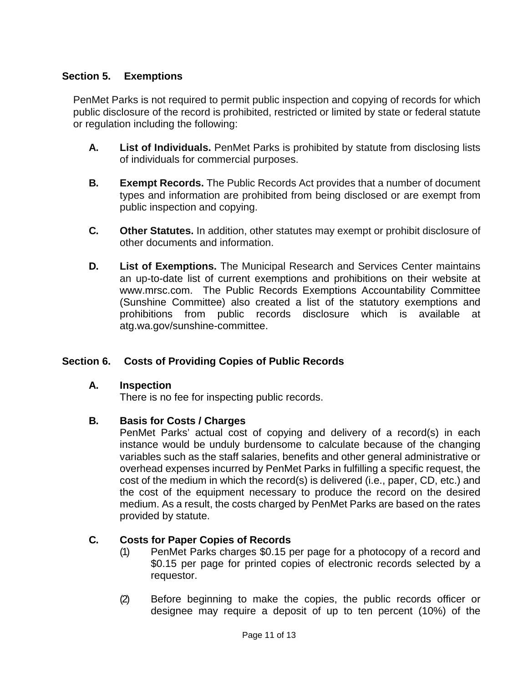# <span id="page-10-0"></span>**Section 5. Exemptions**

PenMet Parks is not required to permit public inspection and copying of records for which public disclosure of the record is prohibited, restricted or limited by state or federal statute or regulation including the following:

- **A. List of Individuals.** PenMet Parks is prohibited by statute from disclosing lists of individuals for commercial purposes.
- **B. Exempt Records.** The Public Records Act provides that a number of document types and information are prohibited from being disclosed or are exempt from public inspection and copying.
- **C. Other Statutes.** In addition, other statutes may exempt or prohibit disclosure of other documents and information.
- **D. List of Exemptions.** The Municipal Research and Services Center maintains an up-to-date list of current exemptions and prohibitions on their website at [www.mrsc.com.](http://www.mrsc.com/) The Public Records Exemptions Accountability Committee (Sunshine Committee) also created a list of the statutory exemptions and prohibitions from public records disclosure which is available at atg.wa.gov/sunshine-committee.

# <span id="page-10-1"></span>**Section 6. Costs of Providing Copies of Public Records**

#### **A. Inspection**

There is no fee for inspecting public records.

# **B. Basis for Costs / Charges**

PenMet Parks' actual cost of copying and delivery of a record(s) in each instance would be unduly burdensome to calculate because of the changing variables such as the staff salaries, benefits and other general administrative or overhead expenses incurred by PenMet Parks in fulfilling a specific request, the cost of the medium in which the record(s) is delivered (i.e., paper, CD, etc.) and the cost of the equipment necessary to produce the record on the desired medium. As a result, the costs charged by PenMet Parks are based on the rates provided by statute.

# **C. Costs for Paper Copies of Records**

- (1) PenMet Parks charges \$0.15 per page for a photocopy of a record and \$0.15 per page for printed copies of electronic records selected by a requestor.
- (2) Before beginning to make the copies, the public records officer or designee may require a deposit of up to ten percent (10%) of the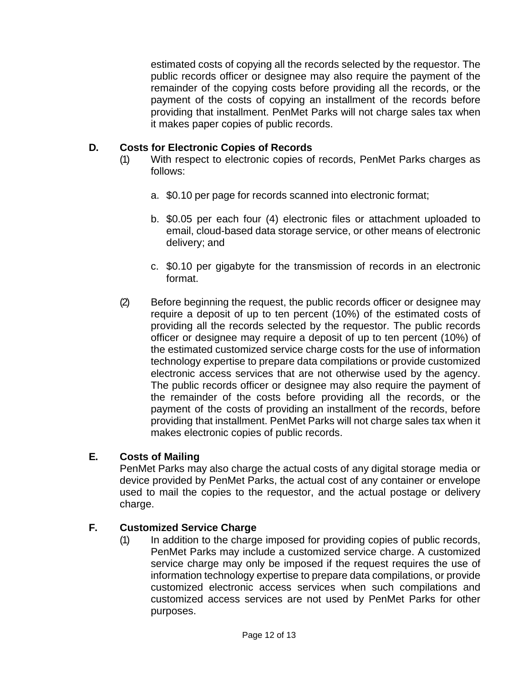estimated costs of copying all the records selected by the requestor. The public records officer or designee may also require the payment of the remainder of the copying costs before providing all the records, or the payment of the costs of copying an installment of the records before providing that installment. PenMet Parks will not charge sales tax when it makes paper copies of public records.

# **D. Costs for Electronic Copies of Records**

- (1) With respect to electronic copies of records, PenMet Parks charges as follows:
	- a. \$0.10 per page for records scanned into electronic format;
	- b. \$0.05 per each four (4) electronic files or attachment uploaded to email, cloud-based data storage service, or other means of electronic delivery; and
	- c. \$0.10 per gigabyte for the transmission of records in an electronic format.
- (2) Before beginning the request, the public records officer or designee may require a deposit of up to ten percent (10%) of the estimated costs of providing all the records selected by the requestor. The public records officer or designee may require a deposit of up to ten percent (10%) of the estimated customized service charge costs for the use of information technology expertise to prepare data compilations or provide customized electronic access services that are not otherwise used by the agency. The public records officer or designee may also require the payment of the remainder of the costs before providing all the records, or the payment of the costs of providing an installment of the records, before providing that installment. PenMet Parks will not charge sales tax when it makes electronic copies of public records.

# **E. Costs of Mailing**

PenMet Parks may also charge the actual costs of any digital storage media or device provided by PenMet Parks, the actual cost of any container or envelope used to mail the copies to the requestor, and the actual postage or delivery charge.

# **F. Customized Service Charge**

(1) In addition to the charge imposed for providing copies of public records, PenMet Parks may include a customized service charge. A customized service charge may only be imposed if the request requires the use of information technology expertise to prepare data compilations, or provide customized electronic access services when such compilations and customized access services are not used by PenMet Parks for other purposes.